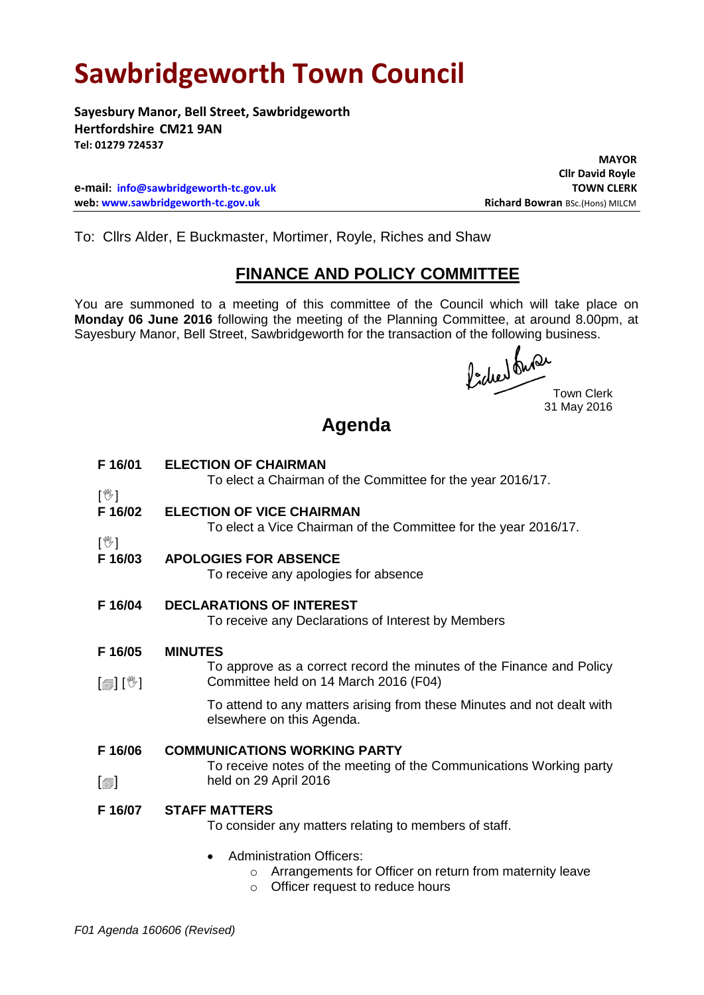## **Sawbridgeworth Town Council**

**Sayesbury Manor, Bell Street, Sawbridgeworth Hertfordshire CM21 9AN Tel: 01279 724537**

**e-mail: [info@sawbridgeworth-tc.gov.uk](mailto:info@sawbridgeworth-tc.gov.uk) TOWN CLERK web: www.sawbridgeworth-tc.gov.uk Richard Bowran BSc.(Hons) MILCM Richard Bowran BSc.(Hons) MILCM** 

 **MAYOR Cllr David Royle**

To: Cllrs Alder, E Buckmaster, Mortimer, Royle, Riches and Shaw

## **FINANCE AND POLICY COMMITTEE**

You are summoned to a meeting of this committee of the Council which will take place on **Monday 06 June 2016** following the meeting of the Planning Committee, at around 8.00pm, at Sayesbury Manor, Bell Street, Sawbridgeworth for the transaction of the following business.

fided the Town Clerk

31 May 2016

## **Agenda**

| F 16/01                             | <b>ELECTION OF CHAIRMAN</b><br>To elect a Chairman of the Committee for the year 2016/17.                                                           |
|-------------------------------------|-----------------------------------------------------------------------------------------------------------------------------------------------------|
| $\mathbb{N}$                        |                                                                                                                                                     |
| F 16/02                             | <b>ELECTION OF VICE CHAIRMAN</b>                                                                                                                    |
| $[\mathbb{V}]$                      | To elect a Vice Chairman of the Committee for the year 2016/17.                                                                                     |
| F 16/03                             | <b>APOLOGIES FOR ABSENCE</b>                                                                                                                        |
|                                     | To receive any apologies for absence                                                                                                                |
| F 16/04                             | <b>DECLARATIONS OF INTEREST</b><br>To receive any Declarations of Interest by Members                                                               |
| F 16/05                             | <b>MINUTES</b>                                                                                                                                      |
| $\mathbb{R}$ [final] $\mathbb{R}$ [ | To approve as a correct record the minutes of the Finance and Policy<br>Committee held on 14 March 2016 (F04)                                       |
|                                     | To attend to any matters arising from these Minutes and not dealt with<br>elsewhere on this Agenda.                                                 |
| F 16/06                             | <b>COMMUNICATIONS WORKING PARTY</b>                                                                                                                 |
|                                     | To receive notes of the meeting of the Communications Working party                                                                                 |
| $\lbrack \oplus \rbrack$            | held on 29 April 2016                                                                                                                               |
| F 16/07                             | <b>STAFF MATTERS</b>                                                                                                                                |
|                                     | To consider any matters relating to members of staff.                                                                                               |
|                                     | <b>Administration Officers:</b><br>Arrangements for Officer on return from maternity leave<br>$\circ$<br>Officer request to reduce hours<br>$\circ$ |